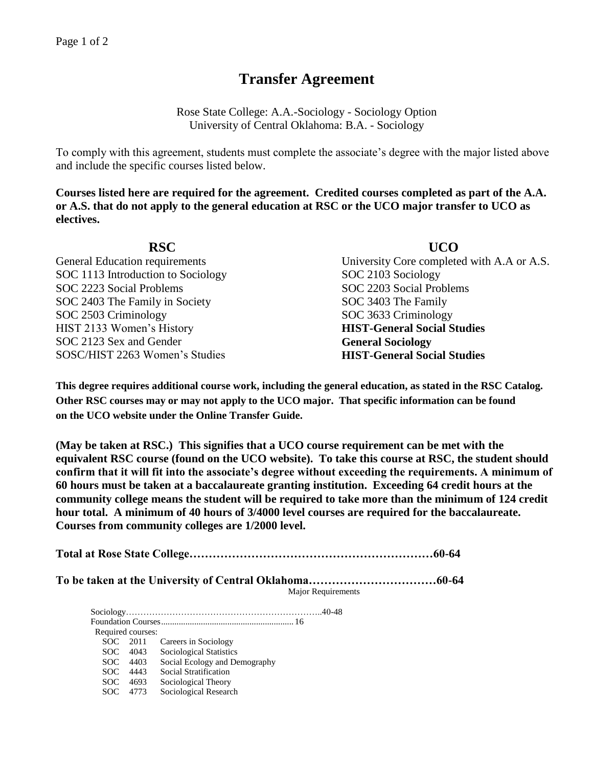## **Transfer Agreement**

Rose State College: A.A.-Sociology - Sociology Option University of Central Oklahoma: B.A. - Sociology

To comply with this agreement, students must complete the associate's degree with the major listed above and include the specific courses listed below.

**Courses listed here are required for the agreement. Credited courses completed as part of the A.A. or A.S. that do not apply to the general education at RSC or the UCO major transfer to UCO as electives.**

| <b>RSC</b>                         | <b>UCO</b>                                 |
|------------------------------------|--------------------------------------------|
| General Education requirements     | University Core completed with A.A or A.S. |
| SOC 1113 Introduction to Sociology | SOC 2103 Sociology                         |
| SOC 2223 Social Problems           | SOC 2203 Social Problems                   |
| SOC 2403 The Family in Society     | SOC 3403 The Family                        |
| SOC 2503 Criminology               | SOC 3633 Criminology                       |
| HIST 2133 Women's History          | <b>HIST-General Social Studies</b>         |
| SOC 2123 Sex and Gender            | <b>General Sociology</b>                   |
| SOSC/HIST 2263 Women's Studies     | <b>HIST-General Social Studies</b>         |

**This degree requires additional course work, including the general education, as stated in the RSC Catalog. Other RSC courses may or may not apply to the UCO major. That specific information can be found on the UCO website under the Online Transfer Guide.**

**(May be taken at RSC.) This signifies that a UCO course requirement can be met with the equivalent RSC course (found on the UCO website). To take this course at RSC, the student should confirm that it will fit into the associate's degree without exceeding the requirements. A minimum of 60 hours must be taken at a baccalaureate granting institution. Exceeding 64 credit hours at the community college means the student will be required to take more than the minimum of 124 credit hour total. A minimum of 40 hours of 3/4000 level courses are required for the baccalaureate. Courses from community colleges are 1/2000 level.**

**Total at Rose State College………………………………………………………60-64 To be taken at the University of Central Oklahoma……………………………60-64** Major Requirements Sociology…………………………………………………………..40-48 Foundation Courses............................................................ 16 Required courses: SOC 2011 Careers in Sociology

SOC 4043 Sociological Statistics

SOC 4443 Social Stratification SOC 4693 Sociological Theory SOC 4773 Sociological Research

SOC 4403 Social Ecology and Demography